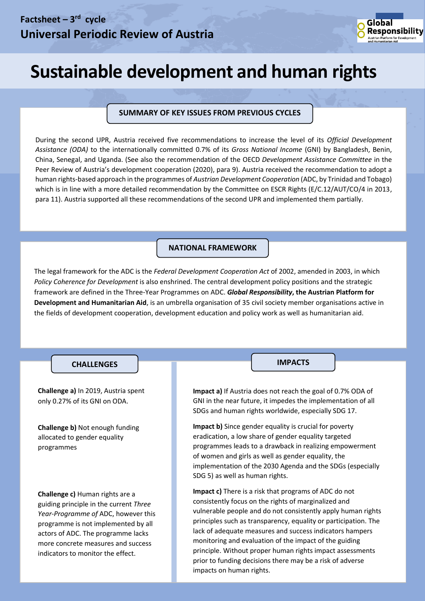

# **Sustainable development and human rights**

#### **SUMMARY OF KEY ISSUES FROM PREVIOUS CYCLES**

During the second UPR, Austria received five recommendations to increase the level of its *Official Development Assistance (ODA)* to the internationally committed 0.7% of its *Gross National Income* (GNI) by Bangladesh, Benin, China, Senegal, and Uganda. (See also the recommendation of the OECD *Development Assistance Committee* in the Peer Review of Austria's development cooperation (2020), para 9). Austria received the recommendation to adopt a human rights-based approach in the programmes of *Austrian Development Cooperation* (ADC, by Trinidad and Tobago) which is in line with a more detailed recommendation by the Committee on ESCR Rights (E/C.12/AUT/CO/4 in 2013, para 11). Austria supported all these recommendations of the second UPR and implemented them partially.

#### **NATIONAL FRAMEWORK**

The legal framework for the ADC is the *Federal Development Cooperation Act* of 2002, amended in 2003, in which *Policy Coherence for Development* is also enshrined. The central development policy positions and the strategic framework are defined in the Three-Year Programmes on ADC. *Global Responsibility***, the Austrian Platform for Development and Humanitarian Aid**, is an umbrella organisation of 35 civil society member organisations active in the fields of development cooperation, development education and policy work as well as humanitarian aid.

#### **CHALLENGES IMPACTS**

*Approximately 120 words*

**Challenge a)** In 2019, Austria spent only 0.27% of its GNI on ODA.

**Challenge b)** Not enough funding allocated to gender equality programmes

**Challenge c)** Human rights are a guiding principle in the current *Three Year-Programme of* ADC, however this programme is not implemented by all actors of ADC. The programme lacks more concrete measures and success indicators to monitor the effect.

**Impact a)** If Austria does not reach the goal of 0.7% ODA of GNI in the near future, it impedes the implementation of all SDGs and human rights worldwide, especially SDG 17.

**Impact b)** Since gender equality is crucial for poverty eradication, a low share of gender equality targeted programmes leads to a drawback in realizing empowerment of women and girls as well as gender equality, the implementation of the 2030 Agenda and the SDGs (especially SDG 5) as well as human rights.

**Impact c)** There is a risk that programs of ADC do not consistently focus on the rights of marginalized and vulnerable people and do not consistently apply human rights principles such as transparency, equality or participation. The lack of adequate measures and success indicators hampers monitoring and evaluation of the impact of the guiding principle. Without proper human rights impact assessments prior to funding decisions there may be a risk of adverse impacts on human rights.